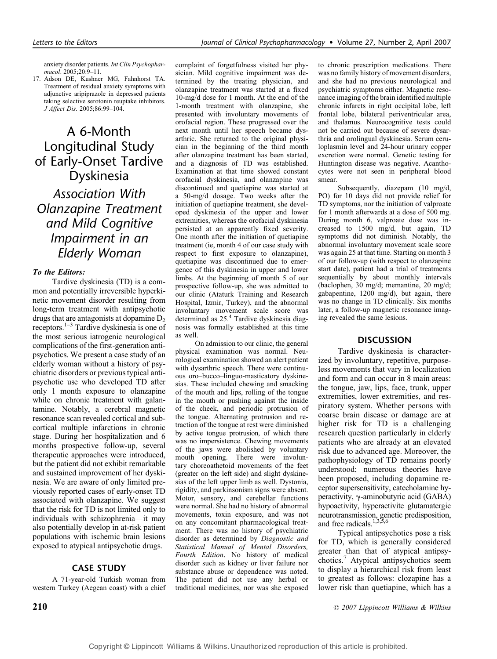anxiety disorder patients. Int Clin Psychopharmacol. 2005;20:9–11.

17. Adson DE, Kushner MG, Fahnhorst TA. Treatment of residual anxiety symptoms with adjunctive aripiprazole in depressed patients taking selective serotonin reuptake inhibitors. J Affect Dis. 2005;86:99–104.

## A 6-Month Longitudinal Study of Early-Onset Tardive Dyskinesia

Association With Olanzapine Treatment and Mild Cognitive Impairment in an Elderly Woman

#### To the Editors:

Tardive dyskinesia (TD) is a common and potentially irreversible hyperkinetic movement disorder resulting from long-term treatment with antipsychotic drugs that are antagonists at dopamine  $D<sub>2</sub>$ receptors.1–3 Tardive dyskinesia is one of the most serious iatrogenic neurological complications of the first-generation antipsychotics. We present a case study of an elderly woman without a history of psychiatric disorders or previous typical antipsychotic use who developed TD after only 1 month exposure to olanzapine while on chronic treatment with galantamine. Notably, a cerebral magnetic resonance scan revealed cortical and subcortical multiple infarctions in chronic stage. During her hospitalization and 6 months prospective follow-up, several therapeutic approaches were introduced, but the patient did not exhibit remarkable and sustained improvement of her dyskinesia. We are aware of only limited previously reported cases of early-onset TD associated with olanzapine. We suggest that the risk for TD is not limited only to individuals with schizophrenia—it may also potentially develop in at-risk patient populations with ischemic brain lesions exposed to atypical antipsychotic drugs.

## CASE STUDY

A 71-year-old Turkish woman from western Turkey (Aegean coast) with a chief complaint of forgetfulness visited her physician. Mild cognitive impairment was determined by the treating physician, and olanzapine treatment was started at a fixed 10-mg/d dose for 1 month. At the end of the 1-month treatment with olanzapine, she presented with involuntary movements of orofacial region. These progressed over the next month until her speech became dysarthric. She returned to the original physician in the beginning of the third month after olanzapine treatment has been started, and a diagnosis of TD was established. Examination at that time showed constant orofacial dyskinesia, and olanzapine was discontinued and quetiapine was started at a 50-mg/d dosage. Two weeks after the initiation of quetiapine treatment, she developed dyskinesia of the upper and lower extremities, whereas the orofacial dyskinesia persisted at an apparently fixed severity. One month after the initiation of quetiapine treatment (ie, month 4 of our case study with respect to first exposure to olanzapine), quetiapine was discontinued due to emergence of this dyskinesia in upper and lower limbs. At the beginning of month 5 of our prospective follow-up, she was admitted to our clinic (Ataturk Training and Research Hospital, Izmir, Turkey), and the abnormal involuntary movement scale score was determined as 25.4 Tardive dyskinesia diagnosis was formally established at this time as well.

On admission to our clinic, the general physical examination was normal. Neurological examination showed an alert patient with dysarthric speech. There were continuous oro–bucco–linguo-masticatory dyskinesias. These included chewing and smacking of the mouth and lips, rolling of the tongue in the mouth or pushing against the inside of the cheek, and periodic protrusion of the tongue. Alternating protrusion and retraction of the tongue at rest were diminished by active tongue protrusion, of which there was no impersistence. Chewing movements of the jaws were abolished by voluntary mouth opening. There were involuntary choreoathetoid movements of the feet (greater on the left side) and slight dyskinesias of the left upper limb as well. Dystonia, rigidity, and parkinsonism signs were absent. Motor, sensory, and cerebellar functions were normal. She had no history of abnormal movements, toxin exposure, and was not on any concomitant pharmacological treatment. There was no history of psychiatric disorder as determined by Diagnostic and Statistical Manual of Mental Disorders, Fourth Edition. No history of medical disorder such as kidney or liver failure nor substance abuse or dependence was noted. The patient did not use any herbal or traditional medicines, nor was she exposed to chronic prescription medications. There was no family history of movement disorders, and she had no previous neurological and psychiatric symptoms either. Magnetic resonance imaging of the brain identified multiple chronic infarcts in right occipital lobe, left frontal lobe, bilateral periventricular area, and thalamus. Neurocognitive tests could not be carried out because of severe dysarthria and orolingual dyskinesia. Serum ceruloplasmin level and 24-hour urinary copper excretion were normal. Genetic testing for Huntington disease was negative. Acanthocytes were not seen in peripheral blood smear.

Subsequently, diazepam (10 mg/d, PO) for 10 days did not provide relief for TD symptoms, nor the initiation of valproate for 1 month afterwards at a dose of 500 mg. During month 6, valproate dose was increased to 1500 mg/d, but again, TD symptoms did not diminish. Notably, the abnormal involuntary movement scale score was again 25 at that time. Starting on month 3 of our follow-up (with respect to olanzapine start date), patient had a trial of treatments sequentially by about monthly intervals (baclophen, 30 mg/d; memantine, 20 mg/d; gabapentine, 1200 mg/d), but again, there was no change in TD clinically. Six months later, a follow-up magnetic resonance imaging revealed the same lesions.

#### **DISCUSSION**

Tardive dyskinesia is characterized by involuntary, repetitive, purposeless movements that vary in localization and form and can occur in 8 main areas: the tongue, jaw, lips, face, trunk, upper extremities, lower extremities, and respiratory system. Whether persons with coarse brain disease or damage are at higher risk for TD is a challenging research question particularly in elderly patients who are already at an elevated risk due to advanced age. Moreover, the pathophysiology of TD remains poorly understood; numerous theories have been proposed, including dopamine receptor supersensitivity, catecholamine hyperactivity,  $\gamma$ -aminobutyric acid (GABA) hypoactivity, hyperactivite glutamatergic neurotransmission, genetic predisposition, and free radicals.<sup>1,3,5,6</sup>

Typical antipsychotics pose a risk for TD, which is generally considered greater than that of atypical antipsychotics.<sup>7</sup> Atypical antipsychotics seem to display a hierarchical risk from least to greatest as follows: clozapine has a lower risk than quetiapine, which has a

**210 2007 210 2007 210 2007 210 2007 210 2007 210 2007 210 2007 210 2007 210 2007 210 2007 210 2007 210 2007 210 2007 210 2007 210 2007 210 2007 210 210**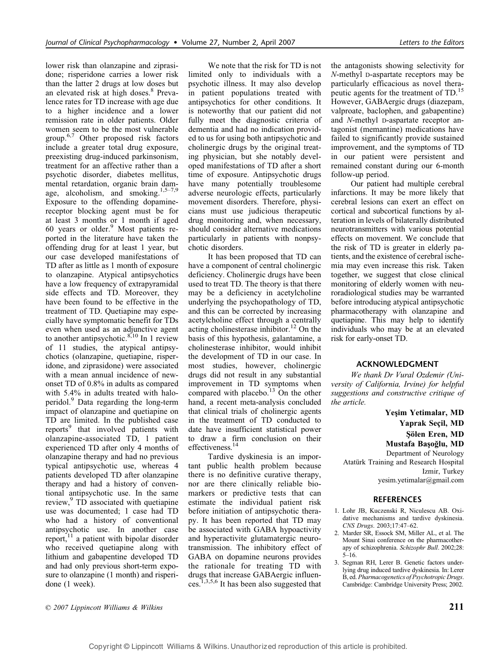lower risk than olanzapine and ziprasidone; risperidone carries a lower risk than the latter 2 drugs at low doses but an elevated risk at high doses.<sup>8</sup> Prevalence rates for TD increase with age due to a higher incidence and a lower remission rate in older patients. Older women seem to be the most vulnerable group.6,7 Other proposed risk factors include a greater total drug exposure, preexisting drug-induced parkinsonism, treatment for an affective rather than a psychotic disorder, diabetes mellitus, mental retardation, organic brain damage, alcoholism, and smoking. $1,5-7,9$ Exposure to the offending dopaminereceptor blocking agent must be for at least 3 months or 1 month if aged 60 years or older.<sup>9</sup> Most patients reported in the literature have taken the offending drug for at least 1 year, but our case developed manifestations of TD after as little as 1 month of exposure to olanzapine. Atypical antipsychotics have a low frequency of extrapyramidal side effects and TD. Moreover, they have been found to be effective in the treatment of TD. Quetiapine may especially have symptomatic benefit for TDs even when used as an adjunctive agent to another antipsychotic.<sup>8,10</sup> In 1 review of 11 studies, the atypical antipsychotics (olanzapine, quetiapine, risperidone, and ziprasidone) were associated with a mean annual incidence of newonset TD of 0.8% in adults as compared with 5.4% in adults treated with haloperidol.<sup>9</sup> Data regarding the long-term impact of olanzapine and quetiapine on TD are limited. In the published case reports<sup>9</sup> that involved patients with olanzapine-associated TD, 1 patient experienced TD after only 4 months of olanzapine therapy and had no previous typical antipsychotic use, whereas 4 patients developed TD after olanzapine therapy and had a history of conventional antipsychotic use. In the same review,<sup>9</sup> TD associated with quetiapine use was documented; 1 case had TD who had a history of conventional antipsychotic use. In another case report, $^{11}$  a patient with bipolar disorder who received quetiapine along with lithium and gabapentine developed TD and had only previous short-term exposure to olanzapine (1 month) and risperidone (1 week).

We note that the risk for TD is not limited only to individuals with a psychotic illness. It may also develop in patient populations treated with antipsychotics for other conditions. It is noteworthy that our patient did not fully meet the diagnostic criteria of dementia and had no indication provided to us for using both antipsychotic and cholinergic drugs by the original treating physician, but she notably developed manifestations of TD after a short time of exposure. Antipsychotic drugs have many potentially troublesome adverse neurologic effects, particularly movement disorders. Therefore, physicians must use judicious therapeutic drug monitoring and, when necessary, should consider alternative medications particularly in patients with nonpsychotic disorders.

It has been proposed that TD can have a component of central cholinergic deficiency. Cholinergic drugs have been used to treat TD. The theory is that there may be a deficiency in acetylcholine underlying the psychopathology of TD, and this can be corrected by increasing acetylcholine effect through a centrally acting cholinesterase inhibitor.<sup>12</sup> On the basis of this hypothesis, galantamine, a cholinesterase inhibitor, would inhibit the development of TD in our case. In most studies, however, cholinergic drugs did not result in any substantial improvement in TD symptoms when compared with placebo.<sup>13</sup> On the other hand, a recent meta-analysis concluded that clinical trials of cholinergic agents in the treatment of TD conducted to date have insufficient statistical power to draw a firm conclusion on their effectiveness.<sup>14</sup>

Tardive dyskinesia is an important public health problem because there is no definitive curative therapy, nor are there clinically reliable biomarkers or predictive tests that can estimate the individual patient risk before initiation of antipsychotic therapy. It has been reported that TD may be associated with GABA hypoactivity and hyperactivite glutamatergic neurotransmission. The inhibitory effect of GABA on dopamine neurons provides the rationale for treating TD with drugs that increase GABAergic influences.1,3,5,6 It has been also suggested that

the antagonists showing selectivity for N-methyl D-aspartate receptors may be particularly efficacious as novel therapeutic agents for the treatment of TD.<sup>15</sup> However, GABAergic drugs (diazepam, valproate, baclophen, and gabapentine) and N-methyl D-aspartate receptor antagonist (memantine) medications have failed to significantly provide sustained improvement, and the symptoms of TD in our patient were persistent and remained constant during our 6-month follow-up period.

Our patient had multiple cerebral infarctions. It may be more likely that cerebral lesions can exert an effect on cortical and subcortical functions by alteration in levels of bilaterally distributed neurotransmitters with various potential effects on movement. We conclude that the risk of TD is greater in elderly patients, and the existence of cerebral ischemia may even increase this risk. Taken together, we suggest that close clinical monitoring of elderly women with neuroradiological studies may be warranted before introducing atypical antipsychotic pharmacotherapy with olanzapine and quetiapine. This may help to identify individuals who may be at an elevated risk for early-onset TD.

#### ACKNOWLEDGMENT

We thank Dr Vural Ozdemir (University of California, Irvine) for helpful suggestions and constructive critique of the article.

Yesim Yetimalar, MD Yaprak Seçil, MD Şölen Eren, MD Mustafa Başoğlu, MD Department of Neurology Atatürk Training and Research Hospital Izmir, Turkey

yesim.yetimalar@gmail.com

## **REFERENCES**

- 1. Lohr JB, Kuczenski R, Niculescu AB. Oxidative mechanisms and tardive dyskinesia. CNS Drugs. 2003;17:47–62.
- 2. Marder SR, Essock SM, Miller AL, et al. The Mount Sinai conference on the pharmacotherapy of schizophrenia. Schizophr Bull. 2002;28: 5–16.
- 3. Segman RH, Lerer B. Genetic factors underlying drug induced tardive dyskinesia. In: Lerer B, ed. Pharmacogenetics of Psychotropic Drugs. Cambridge: Cambridge University Press; 2002.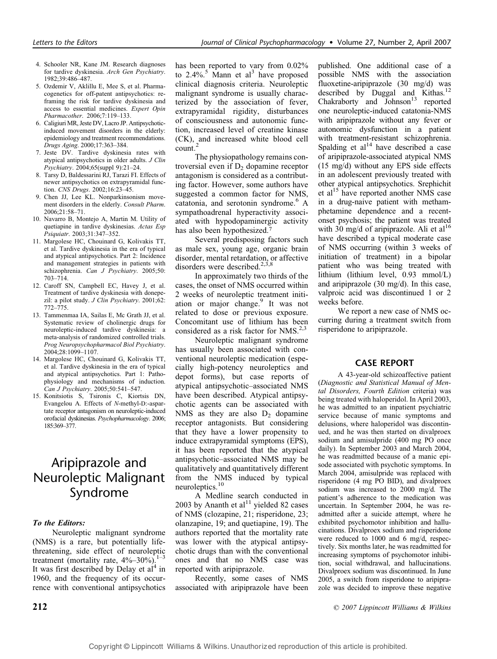- 4. Schooler NR, Kane JM. Research diagnoses for tardive dyskinesia. Arch Gen Psychiatry. 1982;39:486–487.
- 5. Ozdemir V, Aklillu E, Mee S, et al. Pharmacogenetics for off-patent antipsychotics: reframing the risk for tardive dyskinesia and access to essential medicines. Expert Opin Pharmacother. 2006;7:119–133.
- 6. Caligiuri MR, Jeste DV, Lacro JP. Antipsychoticinduced movement disorders in the elderly: epidemiology and treatment recommendations. Drugs Aging. 2000;17:363–384.
- 7. Jeste DV. Tardive dyskinesia rates with atypical antipsychotics in older adults. J Clin Psychiatry. 2004;65(suppl 9):21–24.
- 8. Tarsy D, Baldessarini RJ, Tarazi FI. Effects of newer antipsychotics on extrapyramidal function. CNS Drugs. 2002;16:23–45.
- 9. Chen JJ, Lee KL. Nonparkinsonism movement disorders in the elderly. Consult Pharm. 2006;21:58–71.
- 10. Navarro B, Montejo A, Martin M. Utility of quetiapine in tardive dyskinesias. Actas Esp Psiquiatr. 2003;31:347–352.
- 11. Margolese HC, Chouinard G, Kolivakis TT, et al. Tardive dyskinesia in the era of typical and atypical antipsychotics. Part 2: Incidence and management strategies in patients with schizophrenia. Can J Psychiatry. 2005;50: 703–714.
- 12. Caroff SN, Campbell EC, Havey J, et al. Treatment of tardive dyskinesia with donepezil: a pilot study. J Clin Psychiatry. 2001;62: 772–775.
- 13. Tammenmaa IA, Sailas E, Mc Grath JJ, et al. Systematic review of cholinergic drugs for neuroleptic-induced tardive dyskinesia: a meta-analysis of randomized controlled trials. Prog Neuropsychopharmacol Biol Psychiatry. 2004;28:1099–1107.
- 14. Margolese HC, Chouinard G, Kolivakis TT, et al. Tardive dyskinesia in the era of typical and atypical antipsychotics. Part 1: Pathophysiology and mechanisms of induction. Can J Psychiatry. 2005;50:541–547.
- 15. Konitsiotis S, Tsironis C, Kiortsis DN, Evangelou A. Effects of N-methyl-D:-aspartate receptor antagonism on neuroleptic-induced orofacial dyskinesias. Psychopharmacology. 2006; 185:369–377.

## Aripiprazole and Neuroleptic Malignant Syndrome

### To the Editors:

Neuroleptic malignant syndrome (NMS) is a rare, but potentially lifethreatening, side effect of neuroleptic treatment (mortality rate,  $4\% - 30\%$ ).<sup>1-3</sup> It was first described by Delay et  $al<sup>4</sup>$  in 1960, and the frequency of its occurrence with conventional antipsychotics has been reported to vary from 0.02% to  $2.4\%$ <sup>5</sup> Mann et al<sup>3</sup> have proposed clinical diagnosis criteria. Neuroleptic malignant syndrome is usually characterized by the association of fever, extrapyramidal rigidity, disturbances of consciousness and autonomic function, increased level of creatine kinase (CK), and increased white blood cell count.<sup>2</sup>

The physiopathology remains controversial even if  $D<sub>2</sub>$  dopamine receptor antagonism is considered as a contributing factor. However, some authors have suggested a common factor for NMS, catatonia, and serotonin syndrome.<sup>6</sup> A sympathoadrenal hyperactivity associated with hypodopaminergic activity has also been hypothesized.<sup>7</sup>

Several predisposing factors such as male sex, young age, organic brain disorder, mental retardation, or affective disorders were described. $2,3,8$ 

In approximately two thirds of the cases, the onset of NMS occurred within 2 weeks of neuroleptic treatment initiation or major change.<sup>9</sup> It was not related to dose or previous exposure. Concomitant use of lithium has been considered as a risk factor for  $NMS.<sup>2,3</sup>$ 

Neuroleptic malignant syndrome has usually been associated with conventional neuroleptic medication (especially high-potency neuroleptics and depot forms), but case reports of atypical antipsychotic–associated NMS have been described. Atypical antipsychotic agents can be associated with NMS as they are also  $D_2$  dopamine receptor antagonists. But considering that they have a lower propensity to induce extrapyramidal symptoms (EPS), it has been reported that the atypical antipsychotic–associated NMS may be qualitatively and quantitatively different from the NMS induced by typical neuroleptics.<sup>10</sup>

A Medline search conducted in 2003 by Ananth et  $al<sup>11</sup>$  yielded 82 cases of NMS (clozapine, 21; risperidone, 23; olanzapine, 19; and quetiapine, 19). The authors reported that the mortality rate was lower with the atypical antipsychotic drugs than with the conventional ones and that no NMS case was reported with aripiprazole.

Recently, some cases of NMS associated with aripiprazole have been published. One additional case of a possible NMS with the association fluoxetine-aripiprazole (30 mg/d) was described by Duggal and Kithas.<sup>12</sup> Chakraborty and  $Johnson<sup>13</sup>$  reported one neuroleptic-induced catatonia-NMS with aripiprazole without any fever or autonomic dysfunction in a patient with treatment-resistant schizophrenia. Spalding et  $al<sup>14</sup>$  have described a case of aripiprazole-associated atypical NMS (15 mg/d) without any EPS side effects in an adolescent previously treated with other atypical antipsychotics. Srephichit et al<sup>15</sup> have reported another NMS case in a drug-naive patient with methamphetamine dependence and a recentonset psychosis; the patient was treated with 30 mg/d of aripiprazole. Ali et al<sup>16</sup> have described a typical moderate case of NMS occurring (within 3 weeks of initiation of treatment) in a bipolar patient who was being treated with lithium (lithium level, 0.93 mmol/L) and aripiprazole (30 mg/d). In this case, valproic acid was discontinued 1 or 2 weeks before.

We report a new case of NMS occurring during a treatment switch from risperidone to aripiprazole.

#### CASE REPORT

A 43-year-old schizoaffective patient (Diagnostic and Statistical Manual of Mental Disorders, Fourth Edition criteria) was being treated with haloperidol. In April 2003, he was admitted to an inpatient psychiatric service because of manic symptoms and delusions, where haloperidol was discontinued, and he was then started on divalproex sodium and amisulpride (400 mg PO once daily). In September 2003 and March 2004, he was readmitted because of a manic episode associated with psychotic symptoms. In March 2004, amisulpride was replaced with risperidone (4 mg PO BID), and divalproex sodium was increased to 2000 mg/d. The patient's adherence to the medication was uncertain. In September 2004, he was readmitted after a suicide attempt, where he exhibited psychomotor inhibition and hallucinations. Divalproex sodium and risperidone were reduced to 1000 and 6 mg/d, respectively. Six months later, he was readmitted for increasing symptoms of psychomotor inhibition, social withdrawal, and hallucinations. Divalproex sodium was discontinued. In June 2005, a switch from risperidone to aripiprazole was decided to improve these negative

**212 212 212 212 212 212 212 212 212 212 212 212 212 212 212 212 212 212 212 212 212 212 212 212 212 212 212 212 212 212 212 212 212 212 212 212 212**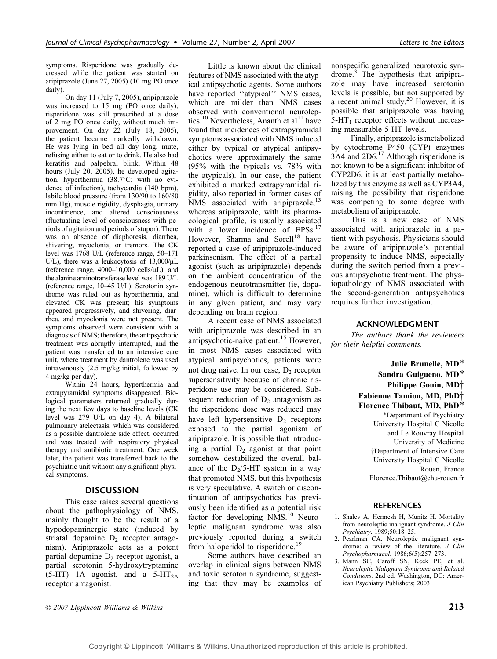symptoms. Risperidone was gradually decreased while the patient was started on aripiprazole (June 27, 2005) (10 mg PO once daily).

On day 11 (July 7, 2005), aripiprazole was increased to 15 mg (PO once daily); risperidone was still prescribed at a dose of 2 mg PO once daily, without much improvement. On day 22 (July 18, 2005), the patient became markedly withdrawn. He was lying in bed all day long, mute, refusing either to eat or to drink. He also had keratitis and palpebral blink. Within 48 hours (July 20, 2005), he developed agitation, hyperthermia  $(38.7^{\circ}C;$  with no evidence of infection), tachycardia (140 bpm), labile blood pressure (from 130/90 to 160/80 mm Hg), muscle rigidity, dysphagia, urinary incontinence, and altered consciousness (fluctuating level of consciousness with periods of agitation and periods of stupor). There was an absence of diaphoresis, diarrhea, shivering, myoclonia, or tremors. The CK level was 1768 U/L (reference range, 50–171 U/L), there was a leukocytosis of  $13,000/\mu L$ (reference range,  $4000-10,000$  cells/ $\mu$ L), and the alanine aminotransferase level was 189 U/L (reference range, 10–45 U/L). Serotonin syndrome was ruled out as hyperthermia, and elevated CK was present; his symptoms appeared progressively, and shivering, diarrhea, and myoclonia were not present. The symptoms observed were consistent with a diagnosis of NMS; therefore, the antipsychotic treatment was abruptly interrupted, and the patient was transferred to an intensive care unit, where treatment by dantrolene was used intravenously (2.5 mg/kg initial, followed by 4 mg/kg per day).

Within 24 hours, hyperthermia and extrapyramidal symptoms disappeared. Biological parameters returned gradually during the next few days to baseline levels (CK level was 279 U/L on day 4). A bilateral pulmonary atelectasis, which was considered as a possible dantrolene side effect, occurred and was treated with respiratory physical therapy and antibiotic treatment. One week later, the patient was transferred back to the psychiatric unit without any significant physical symptoms.

#### DISCUSSION

This case raises several questions about the pathophysiology of NMS, mainly thought to be the result of a hypodopaminergic state (induced by striatal dopamine  $D_2$  receptor antagonism). Aripiprazole acts as a potent partial dopamine  $D_2$  receptor agonist, a partial serotonin 5-hydroxytryptamine  $(5-HT)$  1A agonist, and a 5-HT<sub>2A</sub> receptor antagonist.

Little is known about the clinical features of NMS associated with the atypical antipsychotic agents. Some authors have reported "atypical" NMS cases, which are milder than NMS cases observed with conventional neuroleptics.<sup>10</sup> Nevertheless, Ananth et al<sup>11</sup> have found that incidences of extrapyramidal symptoms associated with NMS induced either by typical or atypical antipsychotics were approximately the same (95% with the typicals vs. 78% with the atypicals). In our case, the patient exhibited a marked extrapyramidal rigidity, also reported in former cases of NMS associated with aripiprazole, $^{13}$ whereas aripiprazole, with its pharmacological profile, is usually associated with a lower incidence of EPSs.<sup>17</sup> However, Sharma and Sorell<sup>18</sup> have reported a case of aripiprazole-induced parkinsonism. The effect of a partial agonist (such as aripiprazole) depends on the ambient concentration of the endogenous neurotransmitter (ie, dopamine), which is difficult to determine in any given patient, and may vary depending on brain region.

A recent case of NMS associated with aripiprazole was described in an antipsychotic-naive patient.<sup>15</sup> However, in most NMS cases associated with atypical antipsychotics, patients were not drug naive. In our case,  $D_2$  receptor supersensitivity because of chronic risperidone use may be considered. Subsequent reduction of  $D<sub>2</sub>$  antagonism as the risperidone dose was reduced may have left hypersensitive  $D_2$  receptors exposed to the partial agonism of aripiprazole. It is possible that introducing a partial  $D_2$  agonist at that point somehow destabilized the overall balance of the  $D_2/5$ -HT system in a way that promoted NMS, but this hypothesis is very speculative. A switch or discontinuation of antipsychotics has previously been identified as a potential risk factor for developing  $NMS.<sup>10</sup>$  Neuroleptic malignant syndrome was also previously reported during a switch from haloperidol to risperidone.<sup>19</sup>

Some authors have described an overlap in clinical signs between NMS and toxic serotonin syndrome, suggesting that they may be examples of nonspecific generalized neurotoxic syndrome.3 The hypothesis that aripiprazole may have increased serotonin levels is possible, but not supported by a recent animal study. $20$  However, it is possible that aripiprazole was having  $5$ -HT<sub>1</sub> receptor effects without increasing measurable 5-HT levels.

Finally, aripiprazole is metabolized by cytochrome P450 (CYP) enzymes 3A4 and 2D6.17 Although risperidone is not known to be a significant inhibitor of CYP2D6, it is at least partially metabolized by this enzyme as well as CYP3A4, raising the possibility that risperidone was competing to some degree with metabolism of aripiprazole.

This is a new case of NMS associated with aripiprazole in a patient with psychosis. Physicians should be aware of aripiprazole's potential propensity to induce NMS, especially during the switch period from a previous antipsychotic treatment. The physiopathology of NMS associated with the second-generation antipsychotics requires further investigation.

#### ACKNOWLEDGMENT

The authors thank the reviewers for their helpful comments.

> Julie Brunelle, MD\* Sandra Guigueno, MD\* Philippe Gouin,  $MD^+$ Fabienne Tamion, MD,  $PhD<sup>+</sup>$ Florence Thibaut, MD, PhD\* \*Department of Psychiatry University Hospital C Nicolle and Le Rouvray Hospital University of Medicine †Department of Intensive Care University Hospital C Nicolle Rouen, France Florence.Thibaut@chu-rouen.fr

#### **REFERENCES**

- 1. Shalev A, Hermesh H, Munitz H. Mortality from neuroleptic malignant syndrome. J Clin Psychiatry. 1989;50:18–25.
- 2. Pearlman CA. Neuroleptic malignant syndrome: a review of the literature. J Clin Psychopharmacol. 1986;6(5):257–273.
- 3. Mann SC, Caroff SN, Keck PE, et al. Neuroleptic Malignant Syndrome and Related Conditions. 2nd ed. Washington, DC: American Psychiatry Publishers; 2003

 $\odot$  2007 Lippincott Williams & Wilkins 213